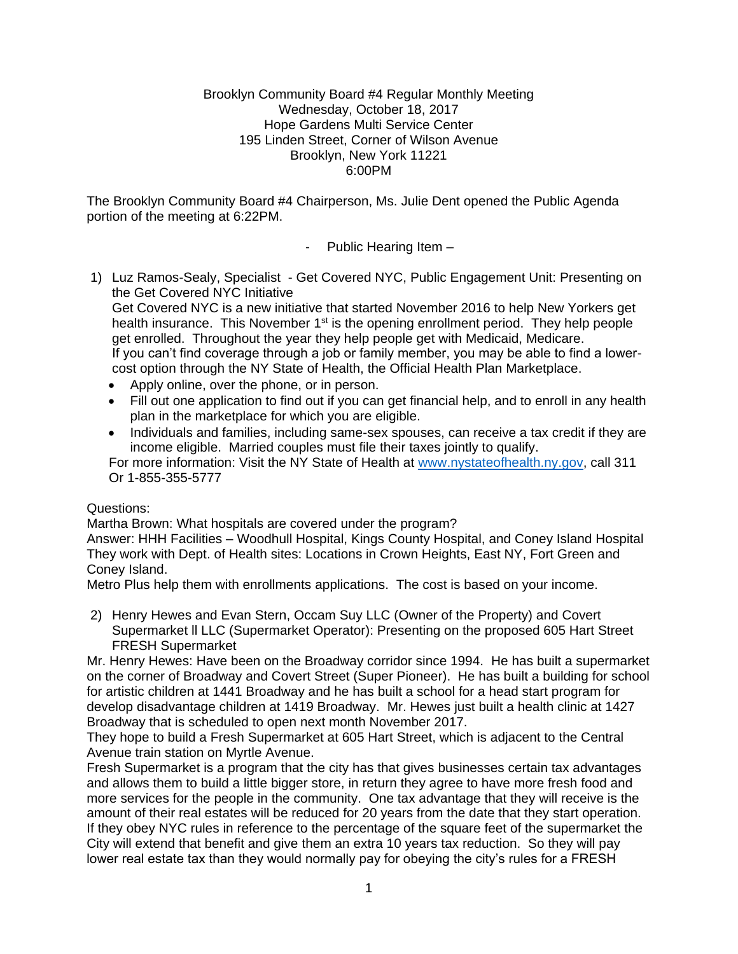### Brooklyn Community Board #4 Regular Monthly Meeting Wednesday, October 18, 2017 Hope Gardens Multi Service Center 195 Linden Street, Corner of Wilson Avenue Brooklyn, New York 11221 6:00PM

The Brooklyn Community Board #4 Chairperson, Ms. Julie Dent opened the Public Agenda portion of the meeting at 6:22PM.

- Public Hearing Item –

1) Luz Ramos-Sealy, Specialist - Get Covered NYC, Public Engagement Unit: Presenting on the Get Covered NYC Initiative

Get Covered NYC is a new initiative that started November 2016 to help New Yorkers get health insurance. This November  $1<sup>st</sup>$  is the opening enrollment period. They help people get enrolled. Throughout the year they help people get with Medicaid, Medicare. If you can't find coverage through a job or family member, you may be able to find a lowercost option through the NY State of Health, the Official Health Plan Marketplace.

- Apply online, over the phone, or in person.
- Fill out one application to find out if you can get financial help, and to enroll in any health plan in the marketplace for which you are eligible.
- Individuals and families, including same-sex spouses, can receive a tax credit if they are income eligible. Married couples must file their taxes jointly to qualify.

For more information: Visit the NY State of Health at [www.nystateofhealth.ny.gov,](http://www.nystateofhealth.ny.gov/) call 311 Or 1-855-355-5777

## Questions:

Martha Brown: What hospitals are covered under the program?

Answer: HHH Facilities – Woodhull Hospital, Kings County Hospital, and Coney Island Hospital They work with Dept. of Health sites: Locations in Crown Heights, East NY, Fort Green and Coney Island.

Metro Plus help them with enrollments applications. The cost is based on your income.

2) Henry Hewes and Evan Stern, Occam Suy LLC (Owner of the Property) and Covert Supermarket ll LLC (Supermarket Operator): Presenting on the proposed 605 Hart Street FRESH Supermarket

Mr. Henry Hewes: Have been on the Broadway corridor since 1994. He has built a supermarket on the corner of Broadway and Covert Street (Super Pioneer). He has built a building for school for artistic children at 1441 Broadway and he has built a school for a head start program for develop disadvantage children at 1419 Broadway. Mr. Hewes just built a health clinic at 1427 Broadway that is scheduled to open next month November 2017.

They hope to build a Fresh Supermarket at 605 Hart Street, which is adjacent to the Central Avenue train station on Myrtle Avenue.

Fresh Supermarket is a program that the city has that gives businesses certain tax advantages and allows them to build a little bigger store, in return they agree to have more fresh food and more services for the people in the community. One tax advantage that they will receive is the amount of their real estates will be reduced for 20 years from the date that they start operation. If they obey NYC rules in reference to the percentage of the square feet of the supermarket the City will extend that benefit and give them an extra 10 years tax reduction. So they will pay lower real estate tax than they would normally pay for obeying the city's rules for a FRESH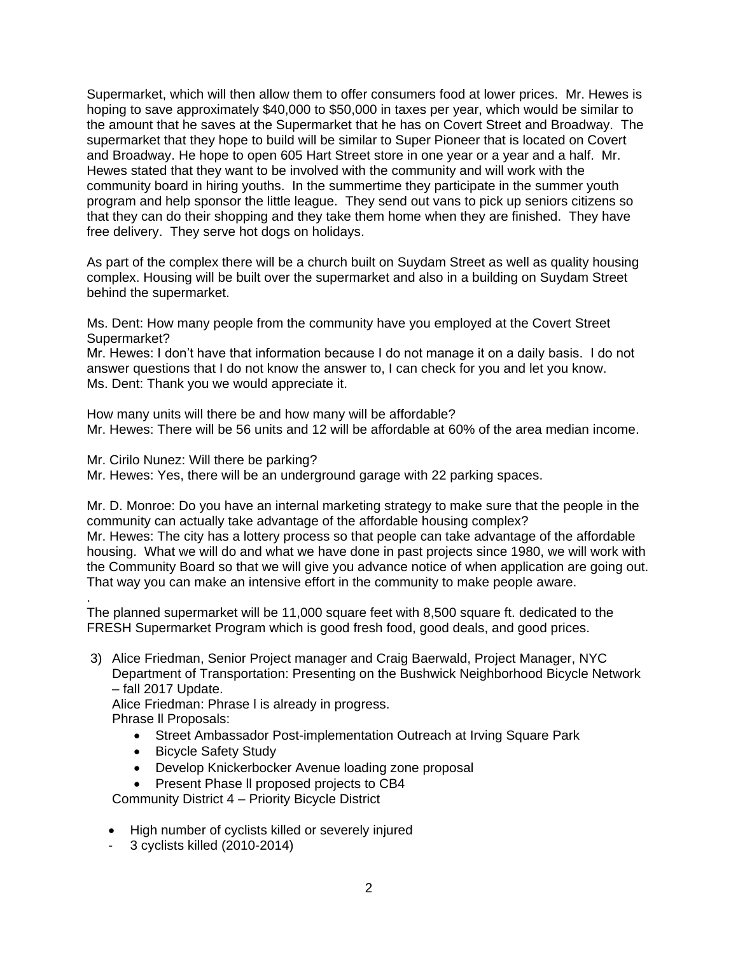Supermarket, which will then allow them to offer consumers food at lower prices. Mr. Hewes is hoping to save approximately \$40,000 to \$50,000 in taxes per year, which would be similar to the amount that he saves at the Supermarket that he has on Covert Street and Broadway. The supermarket that they hope to build will be similar to Super Pioneer that is located on Covert and Broadway. He hope to open 605 Hart Street store in one year or a year and a half. Mr. Hewes stated that they want to be involved with the community and will work with the community board in hiring youths. In the summertime they participate in the summer youth program and help sponsor the little league. They send out vans to pick up seniors citizens so that they can do their shopping and they take them home when they are finished. They have free delivery. They serve hot dogs on holidays.

As part of the complex there will be a church built on Suydam Street as well as quality housing complex. Housing will be built over the supermarket and also in a building on Suydam Street behind the supermarket.

Ms. Dent: How many people from the community have you employed at the Covert Street Supermarket?

Mr. Hewes: I don't have that information because I do not manage it on a daily basis. I do not answer questions that I do not know the answer to, I can check for you and let you know. Ms. Dent: Thank you we would appreciate it.

How many units will there be and how many will be affordable? Mr. Hewes: There will be 56 units and 12 will be affordable at 60% of the area median income.

Mr. Cirilo Nunez: Will there be parking?

Mr. Hewes: Yes, there will be an underground garage with 22 parking spaces.

Mr. D. Monroe: Do you have an internal marketing strategy to make sure that the people in the community can actually take advantage of the affordable housing complex? Mr. Hewes: The city has a lottery process so that people can take advantage of the affordable housing. What we will do and what we have done in past projects since 1980, we will work with the Community Board so that we will give you advance notice of when application are going out. That way you can make an intensive effort in the community to make people aware.

. The planned supermarket will be 11,000 square feet with 8,500 square ft. dedicated to the FRESH Supermarket Program which is good fresh food, good deals, and good prices.

3) Alice Friedman, Senior Project manager and Craig Baerwald, Project Manager, NYC Department of Transportation: Presenting on the Bushwick Neighborhood Bicycle Network – fall 2017 Update.

Alice Friedman: Phrase l is already in progress.

Phrase ll Proposals:

- Street Ambassador Post-implementation Outreach at Irving Square Park
- Bicycle Safety Study
- Develop Knickerbocker Avenue loading zone proposal
- Present Phase ll proposed projects to CB4

Community District 4 – Priority Bicycle District

- High number of cyclists killed or severely injured
- 3 cyclists killed (2010-2014)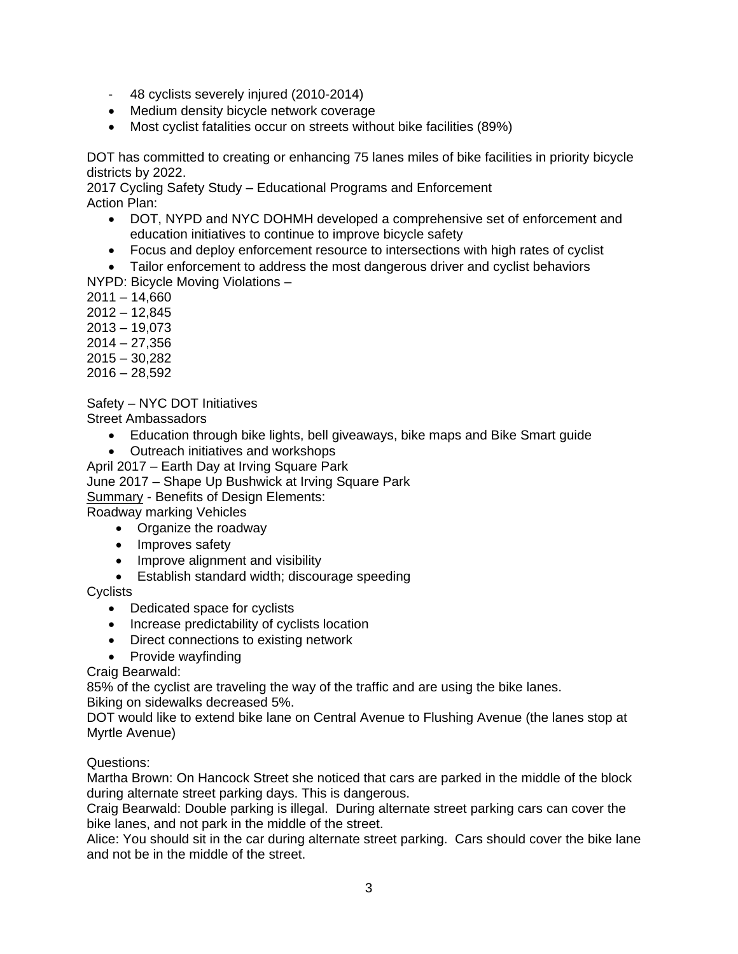- 48 cyclists severely injured (2010-2014)
- Medium density bicycle network coverage
- Most cyclist fatalities occur on streets without bike facilities (89%)

DOT has committed to creating or enhancing 75 lanes miles of bike facilities in priority bicycle districts by 2022.

2017 Cycling Safety Study – Educational Programs and Enforcement Action Plan:

- DOT, NYPD and NYC DOHMH developed a comprehensive set of enforcement and education initiatives to continue to improve bicycle safety
- Focus and deploy enforcement resource to intersections with high rates of cyclist
- Tailor enforcement to address the most dangerous driver and cyclist behaviors
- NYPD: Bicycle Moving Violations –
- $2011 14,660$
- 2012 12,845
- 2013 19,073
- 2014 27,356
- 2015 30,282
- $2016 28,592$

Safety – NYC DOT Initiatives

Street Ambassadors

- Education through bike lights, bell giveaways, bike maps and Bike Smart guide
- Outreach initiatives and workshops
- April 2017 Earth Day at Irving Square Park
- June 2017 Shape Up Bushwick at Irving Square Park

**Summary - Benefits of Design Elements:** 

Roadway marking Vehicles

- Organize the roadway
- Improves safety
- Improve alignment and visibility
- Establish standard width; discourage speeding

**Cyclists** 

- Dedicated space for cyclists
- Increase predictability of cyclists location
- Direct connections to existing network
- Provide wayfinding

Craig Bearwald:

85% of the cyclist are traveling the way of the traffic and are using the bike lanes. Biking on sidewalks decreased 5%.

DOT would like to extend bike lane on Central Avenue to Flushing Avenue (the lanes stop at Myrtle Avenue)

Questions:

Martha Brown: On Hancock Street she noticed that cars are parked in the middle of the block during alternate street parking days. This is dangerous.

Craig Bearwald: Double parking is illegal. During alternate street parking cars can cover the bike lanes, and not park in the middle of the street.

Alice: You should sit in the car during alternate street parking. Cars should cover the bike lane and not be in the middle of the street.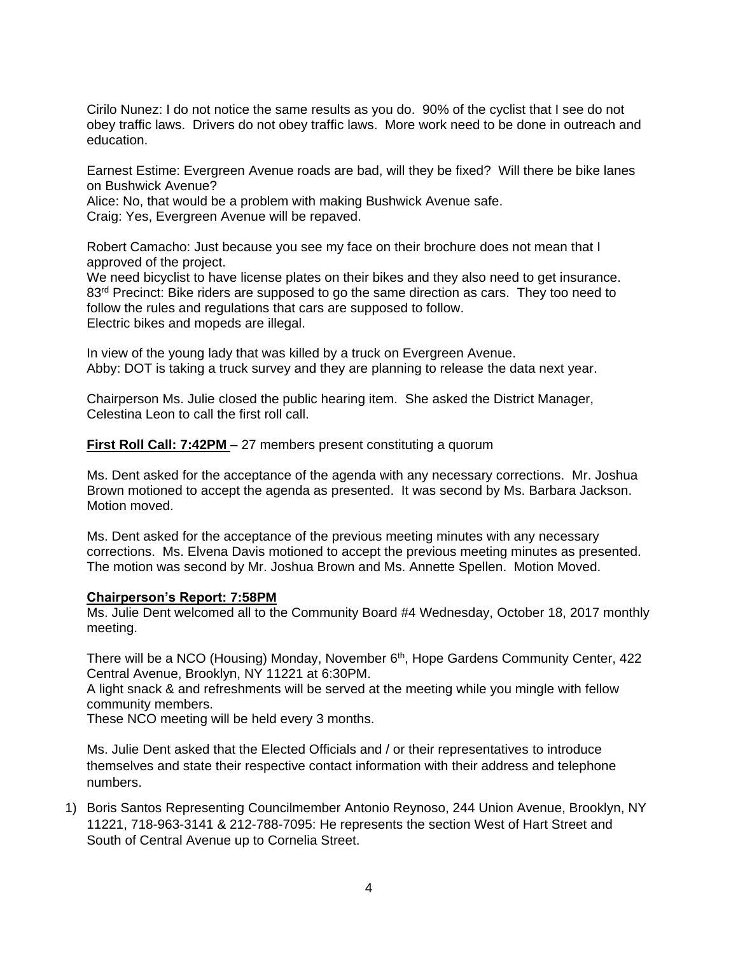Cirilo Nunez: I do not notice the same results as you do. 90% of the cyclist that I see do not obey traffic laws. Drivers do not obey traffic laws. More work need to be done in outreach and education.

Earnest Estime: Evergreen Avenue roads are bad, will they be fixed? Will there be bike lanes on Bushwick Avenue?

Alice: No, that would be a problem with making Bushwick Avenue safe.

Craig: Yes, Evergreen Avenue will be repaved.

Robert Camacho: Just because you see my face on their brochure does not mean that I approved of the project.

We need bicyclist to have license plates on their bikes and they also need to get insurance. 83<sup>rd</sup> Precinct: Bike riders are supposed to go the same direction as cars. They too need to follow the rules and regulations that cars are supposed to follow. Electric bikes and mopeds are illegal.

In view of the young lady that was killed by a truck on Evergreen Avenue. Abby: DOT is taking a truck survey and they are planning to release the data next year.

Chairperson Ms. Julie closed the public hearing item. She asked the District Manager, Celestina Leon to call the first roll call.

**First Roll Call: 7:42PM** – 27 members present constituting a quorum

Ms. Dent asked for the acceptance of the agenda with any necessary corrections. Mr. Joshua Brown motioned to accept the agenda as presented. It was second by Ms. Barbara Jackson. Motion moved.

Ms. Dent asked for the acceptance of the previous meeting minutes with any necessary corrections. Ms. Elvena Davis motioned to accept the previous meeting minutes as presented. The motion was second by Mr. Joshua Brown and Ms. Annette Spellen. Motion Moved.

#### **Chairperson's Report: 7:58PM**

Ms. Julie Dent welcomed all to the Community Board #4 Wednesday, October 18, 2017 monthly meeting.

There will be a NCO (Housing) Monday, November 6<sup>th</sup>, Hope Gardens Community Center, 422 Central Avenue, Brooklyn, NY 11221 at 6:30PM.

A light snack & and refreshments will be served at the meeting while you mingle with fellow community members.

These NCO meeting will be held every 3 months.

Ms. Julie Dent asked that the Elected Officials and / or their representatives to introduce themselves and state their respective contact information with their address and telephone numbers.

1) Boris Santos Representing Councilmember Antonio Reynoso, 244 Union Avenue, Brooklyn, NY 11221, 718-963-3141 & 212-788-7095: He represents the section West of Hart Street and South of Central Avenue up to Cornelia Street.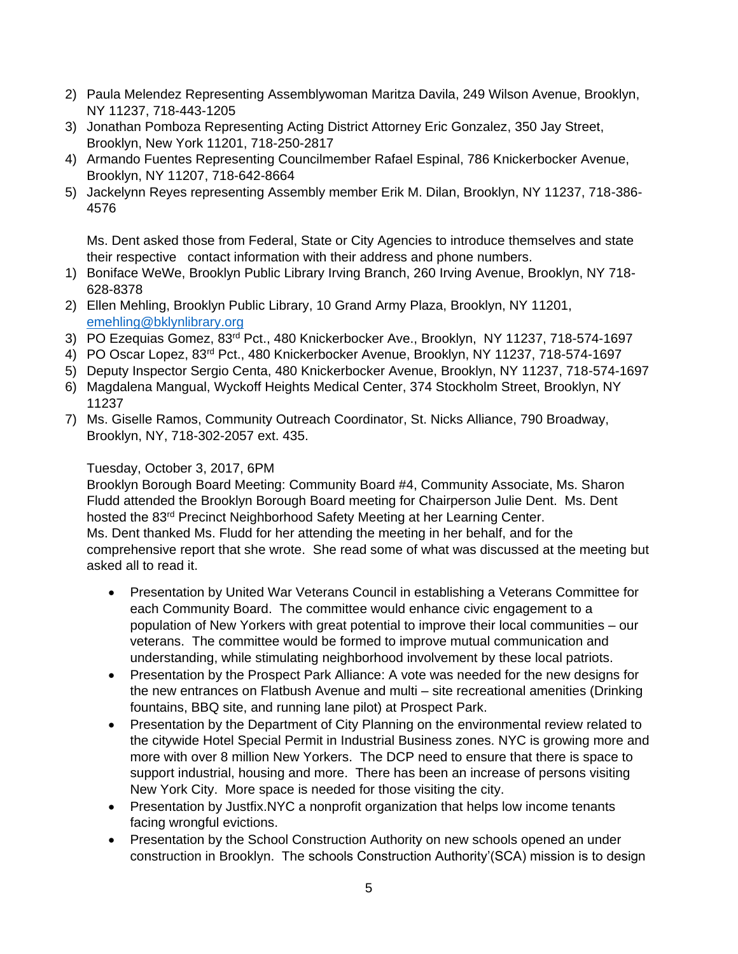- 2) Paula Melendez Representing Assemblywoman Maritza Davila, 249 Wilson Avenue, Brooklyn, NY 11237, 718-443-1205
- 3) Jonathan Pomboza Representing Acting District Attorney Eric Gonzalez, 350 Jay Street, Brooklyn, New York 11201, 718-250-2817
- 4) Armando Fuentes Representing Councilmember Rafael Espinal, 786 Knickerbocker Avenue, Brooklyn, NY 11207, 718-642-8664
- 5) Jackelynn Reyes representing Assembly member Erik M. Dilan, Brooklyn, NY 11237, 718-386- 4576

Ms. Dent asked those from Federal, State or City Agencies to introduce themselves and state their respective contact information with their address and phone numbers.

- 1) Boniface WeWe, Brooklyn Public Library Irving Branch, 260 Irving Avenue, Brooklyn, NY 718- 628-8378
- 2) Ellen Mehling, Brooklyn Public Library, 10 Grand Army Plaza, Brooklyn, NY 11201, [emehling@bklynlibrary.org](mailto:emehling@bklynlibrary.org)
- 3) PO Ezequias Gomez, 83rd Pct., 480 Knickerbocker Ave., Brooklyn, NY 11237, 718-574-1697
- 4) PO Oscar Lopez, 83rd Pct., 480 Knickerbocker Avenue, Brooklyn, NY 11237, 718-574-1697
- 5) Deputy Inspector Sergio Centa, 480 Knickerbocker Avenue, Brooklyn, NY 11237, 718-574-1697
- 6) Magdalena Mangual, Wyckoff Heights Medical Center, 374 Stockholm Street, Brooklyn, NY 11237
- 7) Ms. Giselle Ramos, Community Outreach Coordinator, St. Nicks Alliance, 790 Broadway, Brooklyn, NY, 718-302-2057 ext. 435.

# Tuesday, October 3, 2017, 6PM

Brooklyn Borough Board Meeting: Community Board #4, Community Associate, Ms. Sharon Fludd attended the Brooklyn Borough Board meeting for Chairperson Julie Dent. Ms. Dent hosted the 83rd Precinct Neighborhood Safety Meeting at her Learning Center. Ms. Dent thanked Ms. Fludd for her attending the meeting in her behalf, and for the comprehensive report that she wrote. She read some of what was discussed at the meeting but asked all to read it.

- Presentation by United War Veterans Council in establishing a Veterans Committee for each Community Board. The committee would enhance civic engagement to a population of New Yorkers with great potential to improve their local communities – our veterans. The committee would be formed to improve mutual communication and understanding, while stimulating neighborhood involvement by these local patriots.
- Presentation by the Prospect Park Alliance: A vote was needed for the new designs for the new entrances on Flatbush Avenue and multi – site recreational amenities (Drinking fountains, BBQ site, and running lane pilot) at Prospect Park.
- Presentation by the Department of City Planning on the environmental review related to the citywide Hotel Special Permit in Industrial Business zones. NYC is growing more and more with over 8 million New Yorkers. The DCP need to ensure that there is space to support industrial, housing and more. There has been an increase of persons visiting New York City. More space is needed for those visiting the city.
- Presentation by Justfix.NYC a nonprofit organization that helps low income tenants facing wrongful evictions.
- Presentation by the School Construction Authority on new schools opened an under construction in Brooklyn. The schools Construction Authority'(SCA) mission is to design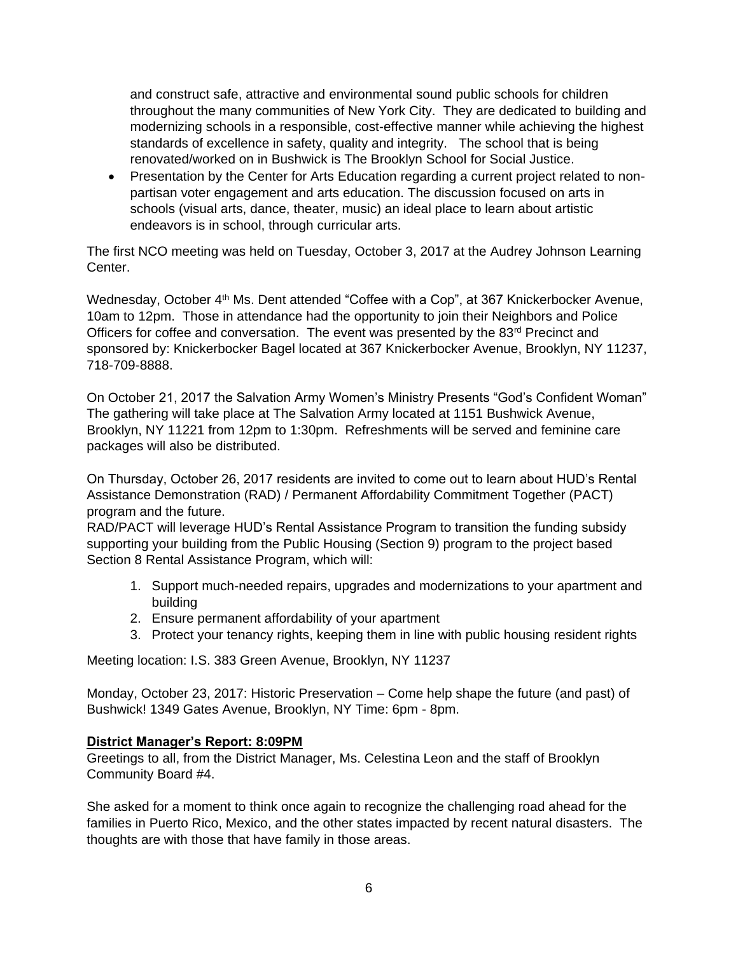and construct safe, attractive and environmental sound public schools for children throughout the many communities of New York City. They are dedicated to building and modernizing schools in a responsible, cost-effective manner while achieving the highest standards of excellence in safety, quality and integrity. The school that is being renovated/worked on in Bushwick is The Brooklyn School for Social Justice.

• Presentation by the Center for Arts Education regarding a current project related to nonpartisan voter engagement and arts education. The discussion focused on arts in schools (visual arts, dance, theater, music) an ideal place to learn about artistic endeavors is in school, through curricular arts.

The first NCO meeting was held on Tuesday, October 3, 2017 at the Audrey Johnson Learning Center.

Wednesday, October 4<sup>th</sup> Ms. Dent attended "Coffee with a Cop", at 367 Knickerbocker Avenue, 10am to 12pm. Those in attendance had the opportunity to join their Neighbors and Police Officers for coffee and conversation. The event was presented by the 83<sup>rd</sup> Precinct and sponsored by: Knickerbocker Bagel located at 367 Knickerbocker Avenue, Brooklyn, NY 11237, 718-709-8888.

On October 21, 2017 the Salvation Army Women's Ministry Presents "God's Confident Woman" The gathering will take place at The Salvation Army located at 1151 Bushwick Avenue, Brooklyn, NY 11221 from 12pm to 1:30pm. Refreshments will be served and feminine care packages will also be distributed.

On Thursday, October 26, 2017 residents are invited to come out to learn about HUD's Rental Assistance Demonstration (RAD) / Permanent Affordability Commitment Together (PACT) program and the future.

RAD/PACT will leverage HUD's Rental Assistance Program to transition the funding subsidy supporting your building from the Public Housing (Section 9) program to the project based Section 8 Rental Assistance Program, which will:

- 1. Support much-needed repairs, upgrades and modernizations to your apartment and building
- 2. Ensure permanent affordability of your apartment
- 3. Protect your tenancy rights, keeping them in line with public housing resident rights

Meeting location: I.S. 383 Green Avenue, Brooklyn, NY 11237

Monday, October 23, 2017: Historic Preservation – Come help shape the future (and past) of Bushwick! 1349 Gates Avenue, Brooklyn, NY Time: 6pm - 8pm.

## **District Manager's Report: 8:09PM**

Greetings to all, from the District Manager, Ms. Celestina Leon and the staff of Brooklyn Community Board #4.

She asked for a moment to think once again to recognize the challenging road ahead for the families in Puerto Rico, Mexico, and the other states impacted by recent natural disasters. The thoughts are with those that have family in those areas.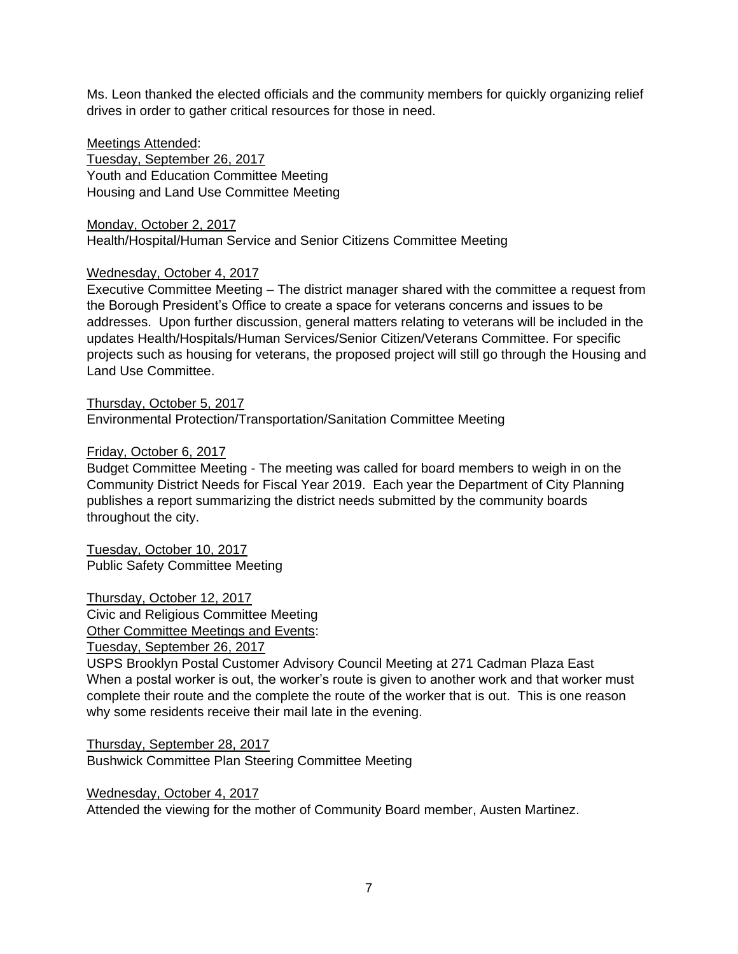Ms. Leon thanked the elected officials and the community members for quickly organizing relief drives in order to gather critical resources for those in need.

### Meetings Attended:

Tuesday, September 26, 2017 Youth and Education Committee Meeting Housing and Land Use Committee Meeting

Monday, October 2, 2017 Health/Hospital/Human Service and Senior Citizens Committee Meeting

## Wednesday, October 4, 2017

Executive Committee Meeting – The district manager shared with the committee a request from the Borough President's Office to create a space for veterans concerns and issues to be addresses. Upon further discussion, general matters relating to veterans will be included in the updates Health/Hospitals/Human Services/Senior Citizen/Veterans Committee. For specific projects such as housing for veterans, the proposed project will still go through the Housing and Land Use Committee.

Thursday, October 5, 2017 Environmental Protection/Transportation/Sanitation Committee Meeting

### Friday, October 6, 2017

Budget Committee Meeting - The meeting was called for board members to weigh in on the Community District Needs for Fiscal Year 2019. Each year the Department of City Planning publishes a report summarizing the district needs submitted by the community boards throughout the city.

Tuesday, October 10, 2017 Public Safety Committee Meeting

Thursday, October 12, 2017 Civic and Religious Committee Meeting Other Committee Meetings and Events: Tuesday, September 26, 2017

USPS Brooklyn Postal Customer Advisory Council Meeting at 271 Cadman Plaza East When a postal worker is out, the worker's route is given to another work and that worker must complete their route and the complete the route of the worker that is out. This is one reason why some residents receive their mail late in the evening.

Thursday, September 28, 2017 Bushwick Committee Plan Steering Committee Meeting

Wednesday, October 4, 2017 Attended the viewing for the mother of Community Board member, Austen Martinez.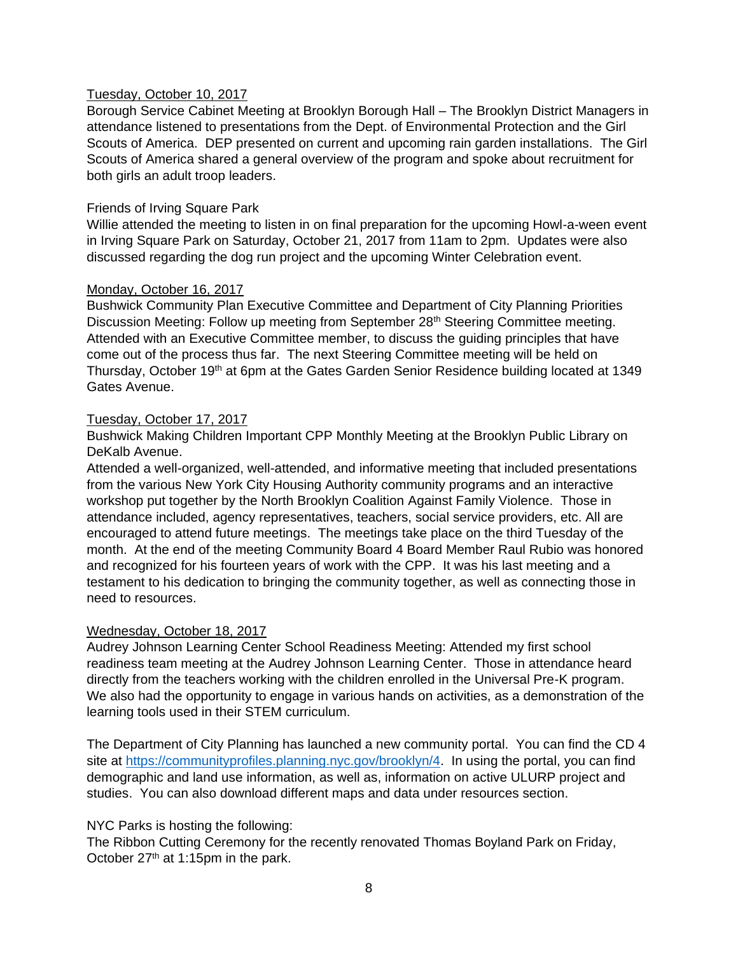### Tuesday, October 10, 2017

Borough Service Cabinet Meeting at Brooklyn Borough Hall – The Brooklyn District Managers in attendance listened to presentations from the Dept. of Environmental Protection and the Girl Scouts of America. DEP presented on current and upcoming rain garden installations. The Girl Scouts of America shared a general overview of the program and spoke about recruitment for both girls an adult troop leaders.

### Friends of Irving Square Park

Willie attended the meeting to listen in on final preparation for the upcoming Howl-a-ween event in Irving Square Park on Saturday, October 21, 2017 from 11am to 2pm. Updates were also discussed regarding the dog run project and the upcoming Winter Celebration event.

### Monday, October 16, 2017

Bushwick Community Plan Executive Committee and Department of City Planning Priorities Discussion Meeting: Follow up meeting from September 28th Steering Committee meeting. Attended with an Executive Committee member, to discuss the guiding principles that have come out of the process thus far. The next Steering Committee meeting will be held on Thursday, October 19<sup>th</sup> at 6pm at the Gates Garden Senior Residence building located at 1349 Gates Avenue.

### Tuesday, October 17, 2017

Bushwick Making Children Important CPP Monthly Meeting at the Brooklyn Public Library on DeKalb Avenue.

Attended a well-organized, well-attended, and informative meeting that included presentations from the various New York City Housing Authority community programs and an interactive workshop put together by the North Brooklyn Coalition Against Family Violence. Those in attendance included, agency representatives, teachers, social service providers, etc. All are encouraged to attend future meetings. The meetings take place on the third Tuesday of the month. At the end of the meeting Community Board 4 Board Member Raul Rubio was honored and recognized for his fourteen years of work with the CPP. It was his last meeting and a testament to his dedication to bringing the community together, as well as connecting those in need to resources.

#### Wednesday, October 18, 2017

Audrey Johnson Learning Center School Readiness Meeting: Attended my first school readiness team meeting at the Audrey Johnson Learning Center. Those in attendance heard directly from the teachers working with the children enrolled in the Universal Pre-K program. We also had the opportunity to engage in various hands on activities, as a demonstration of the learning tools used in their STEM curriculum.

The Department of City Planning has launched a new community portal. You can find the CD 4 site at [https://communityprofiles.planning.nyc.gov/brooklyn/4.](https://communityprofiles.planning.nyc.gov/brooklyn/4) In using the portal, you can find demographic and land use information, as well as, information on active ULURP project and studies. You can also download different maps and data under resources section.

#### NYC Parks is hosting the following:

The Ribbon Cutting Ceremony for the recently renovated Thomas Boyland Park on Friday, October 27<sup>th</sup> at 1:15pm in the park.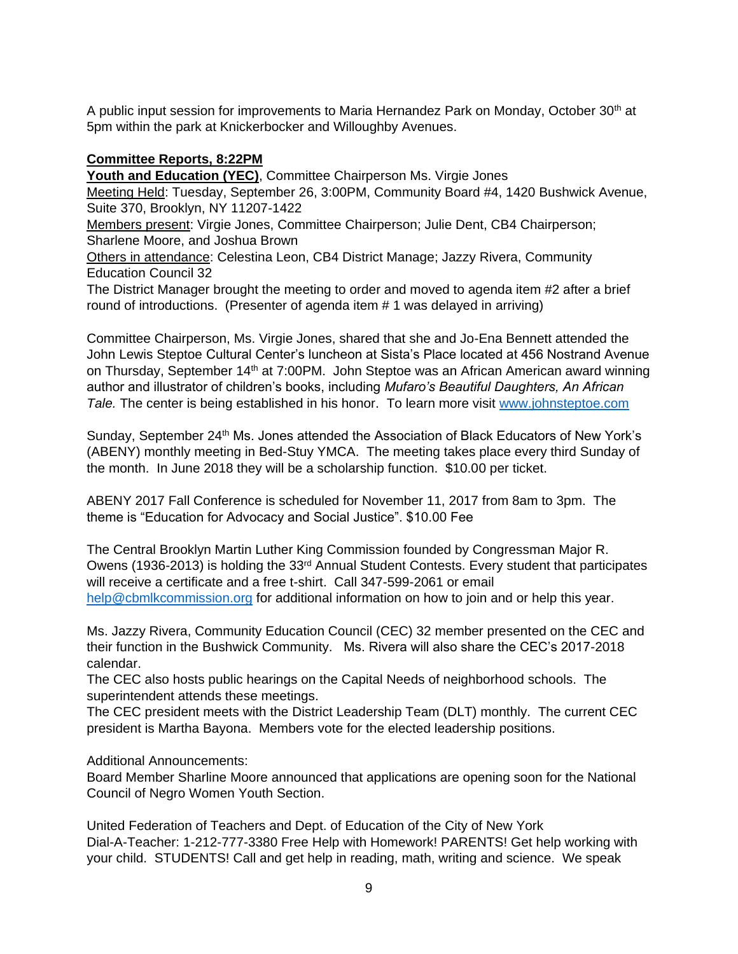A public input session for improvements to Maria Hernandez Park on Monday, October  $30<sup>th</sup>$  at 5pm within the park at Knickerbocker and Willoughby Avenues.

## **Committee Reports, 8:22PM**

**Youth and Education (YEC)**, Committee Chairperson Ms. Virgie Jones

Meeting Held: Tuesday, September 26, 3:00PM, Community Board #4, 1420 Bushwick Avenue, Suite 370, Brooklyn, NY 11207-1422

Members present: Virgie Jones, Committee Chairperson; Julie Dent, CB4 Chairperson; Sharlene Moore, and Joshua Brown

Others in attendance: Celestina Leon, CB4 District Manage; Jazzy Rivera, Community Education Council 32

The District Manager brought the meeting to order and moved to agenda item #2 after a brief round of introductions. (Presenter of agenda item # 1 was delayed in arriving)

Committee Chairperson, Ms. Virgie Jones, shared that she and Jo-Ena Bennett attended the John Lewis Steptoe Cultural Center's luncheon at Sista's Place located at 456 Nostrand Avenue on Thursday, September 14<sup>th</sup> at 7:00PM. John Steptoe was an African American award winning author and illustrator of children's books, including *Mufaro's Beautiful Daughters, An African Tale.* The center is being established in his honor. To learn more visit [www.johnsteptoe.com](http://www.johnsteptoe.com/)

Sunday, September 24<sup>th</sup> Ms. Jones attended the Association of Black Educators of New York's (ABENY) monthly meeting in Bed-Stuy YMCA. The meeting takes place every third Sunday of the month. In June 2018 they will be a scholarship function. \$10.00 per ticket.

ABENY 2017 Fall Conference is scheduled for November 11, 2017 from 8am to 3pm. The theme is "Education for Advocacy and Social Justice". \$10.00 Fee

The Central Brooklyn Martin Luther King Commission founded by Congressman Major R. Owens (1936-2013) is holding the 33<sup>rd</sup> Annual Student Contests. Every student that participates will receive a certificate and a free t-shirt. Call 347-599-2061 or email [help@cbmlkcommission.org](mailto:help@cbmlkcommission.org) for additional information on how to join and or help this year.

Ms. Jazzy Rivera, Community Education Council (CEC) 32 member presented on the CEC and their function in the Bushwick Community. Ms. Rivera will also share the CEC's 2017-2018 calendar.

The CEC also hosts public hearings on the Capital Needs of neighborhood schools. The superintendent attends these meetings.

The CEC president meets with the District Leadership Team (DLT) monthly. The current CEC president is Martha Bayona. Members vote for the elected leadership positions.

Additional Announcements:

Board Member Sharline Moore announced that applications are opening soon for the National Council of Negro Women Youth Section.

United Federation of Teachers and Dept. of Education of the City of New York Dial-A-Teacher: 1-212-777-3380 Free Help with Homework! PARENTS! Get help working with your child. STUDENTS! Call and get help in reading, math, writing and science. We speak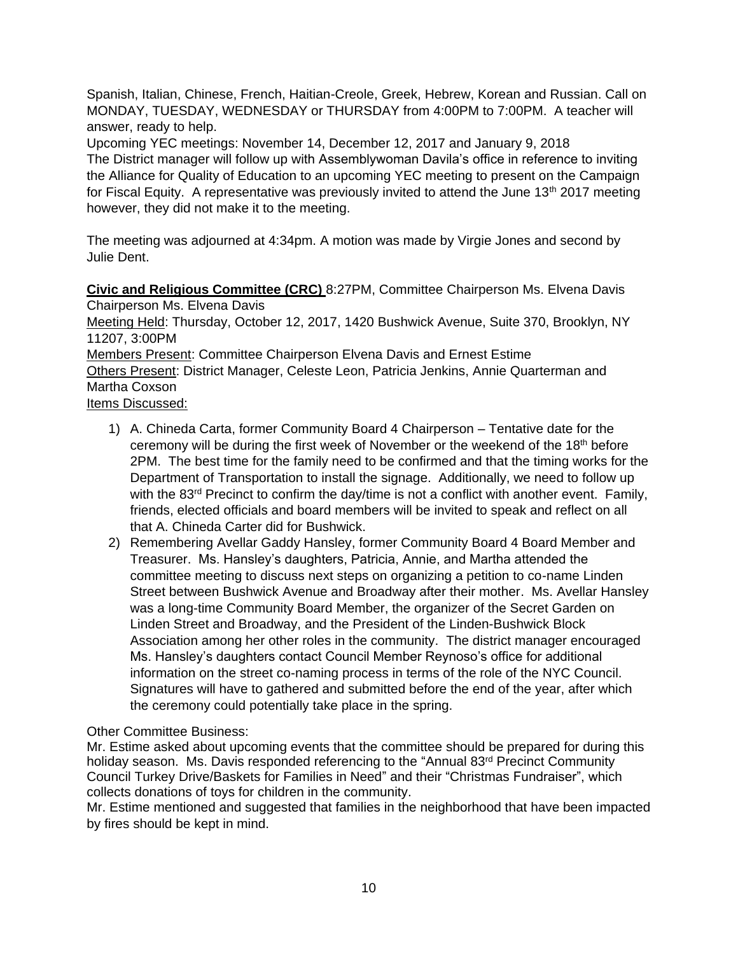Spanish, Italian, Chinese, French, Haitian-Creole, Greek, Hebrew, Korean and Russian. Call on MONDAY, TUESDAY, WEDNESDAY or THURSDAY from 4:00PM to 7:00PM. A teacher will answer, ready to help.

Upcoming YEC meetings: November 14, December 12, 2017 and January 9, 2018 The District manager will follow up with Assemblywoman Davila's office in reference to inviting the Alliance for Quality of Education to an upcoming YEC meeting to present on the Campaign for Fiscal Equity. A representative was previously invited to attend the June 13<sup>th</sup> 2017 meeting however, they did not make it to the meeting.

The meeting was adjourned at 4:34pm. A motion was made by Virgie Jones and second by Julie Dent.

**Civic and Religious Committee (CRC)** 8:27PM, Committee Chairperson Ms. Elvena Davis Chairperson Ms. Elvena Davis

Meeting Held: Thursday, October 12, 2017, 1420 Bushwick Avenue, Suite 370, Brooklyn, NY 11207, 3:00PM

Members Present: Committee Chairperson Elvena Davis and Ernest Estime

Others Present: District Manager, Celeste Leon, Patricia Jenkins, Annie Quarterman and Martha Coxson

Items Discussed:

- 1) A. Chineda Carta, former Community Board 4 Chairperson Tentative date for the ceremony will be during the first week of November or the weekend of the 18th before 2PM. The best time for the family need to be confirmed and that the timing works for the Department of Transportation to install the signage. Additionally, we need to follow up with the 83<sup>rd</sup> Precinct to confirm the day/time is not a conflict with another event. Family, friends, elected officials and board members will be invited to speak and reflect on all that A. Chineda Carter did for Bushwick.
- 2) Remembering Avellar Gaddy Hansley, former Community Board 4 Board Member and Treasurer. Ms. Hansley's daughters, Patricia, Annie, and Martha attended the committee meeting to discuss next steps on organizing a petition to co-name Linden Street between Bushwick Avenue and Broadway after their mother. Ms. Avellar Hansley was a long-time Community Board Member, the organizer of the Secret Garden on Linden Street and Broadway, and the President of the Linden-Bushwick Block Association among her other roles in the community. The district manager encouraged Ms. Hansley's daughters contact Council Member Reynoso's office for additional information on the street co-naming process in terms of the role of the NYC Council. Signatures will have to gathered and submitted before the end of the year, after which the ceremony could potentially take place in the spring.

Other Committee Business:

Mr. Estime asked about upcoming events that the committee should be prepared for during this holiday season. Ms. Davis responded referencing to the "Annual 83<sup>rd</sup> Precinct Community Council Turkey Drive/Baskets for Families in Need" and their "Christmas Fundraiser", which collects donations of toys for children in the community.

Mr. Estime mentioned and suggested that families in the neighborhood that have been impacted by fires should be kept in mind.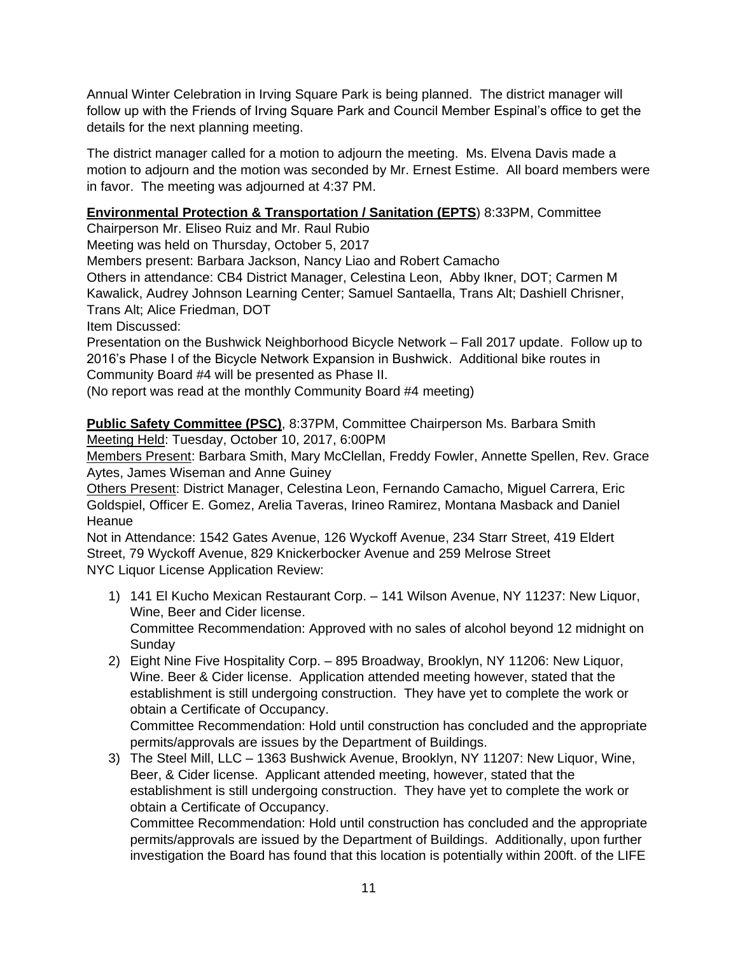Annual Winter Celebration in Irving Square Park is being planned. The district manager will follow up with the Friends of Irving Square Park and Council Member Espinal's office to get the details for the next planning meeting.

The district manager called for a motion to adjourn the meeting. Ms. Elvena Davis made a motion to adjourn and the motion was seconded by Mr. Ernest Estime. All board members were in favor. The meeting was adjourned at 4:37 PM.

# **Environmental Protection & Transportation / Sanitation (EPTS**) 8:33PM, Committee

Chairperson Mr. Eliseo Ruiz and Mr. Raul Rubio

Meeting was held on Thursday, October 5, 2017

Members present: Barbara Jackson, Nancy Liao and Robert Camacho

Others in attendance: CB4 District Manager, Celestina Leon, Abby Ikner, DOT; Carmen M Kawalick, Audrey Johnson Learning Center; Samuel Santaella, Trans Alt; Dashiell Chrisner, Trans Alt; Alice Friedman, DOT

Item Discussed:

Presentation on the Bushwick Neighborhood Bicycle Network – Fall 2017 update. Follow up to 2016's Phase I of the Bicycle Network Expansion in Bushwick. Additional bike routes in Community Board #4 will be presented as Phase II.

(No report was read at the monthly Community Board #4 meeting)

**Public Safety Committee (PSC)**, 8:37PM, Committee Chairperson Ms. Barbara Smith Meeting Held: Tuesday, October 10, 2017, 6:00PM

Members Present: Barbara Smith, Mary McClellan, Freddy Fowler, Annette Spellen, Rev. Grace Aytes, James Wiseman and Anne Guiney

Others Present: District Manager, Celestina Leon, Fernando Camacho, Miguel Carrera, Eric Goldspiel, Officer E. Gomez, Arelia Taveras, Irineo Ramirez, Montana Masback and Daniel **Heanue** 

Not in Attendance: 1542 Gates Avenue, 126 Wyckoff Avenue, 234 Starr Street, 419 Eldert Street, 79 Wyckoff Avenue, 829 Knickerbocker Avenue and 259 Melrose Street NYC Liquor License Application Review:

- 1) 141 El Kucho Mexican Restaurant Corp. 141 Wilson Avenue, NY 11237: New Liquor, Wine, Beer and Cider license. Committee Recommendation: Approved with no sales of alcohol beyond 12 midnight on **Sunday**
- 2) Eight Nine Five Hospitality Corp. 895 Broadway, Brooklyn, NY 11206: New Liquor, Wine. Beer & Cider license. Application attended meeting however, stated that the establishment is still undergoing construction. They have yet to complete the work or obtain a Certificate of Occupancy.

Committee Recommendation: Hold until construction has concluded and the appropriate permits/approvals are issues by the Department of Buildings.

3) The Steel Mill, LLC – 1363 Bushwick Avenue, Brooklyn, NY 11207: New Liquor, Wine, Beer, & Cider license. Applicant attended meeting, however, stated that the establishment is still undergoing construction. They have yet to complete the work or obtain a Certificate of Occupancy.

Committee Recommendation: Hold until construction has concluded and the appropriate permits/approvals are issued by the Department of Buildings. Additionally, upon further investigation the Board has found that this location is potentially within 200ft. of the LIFE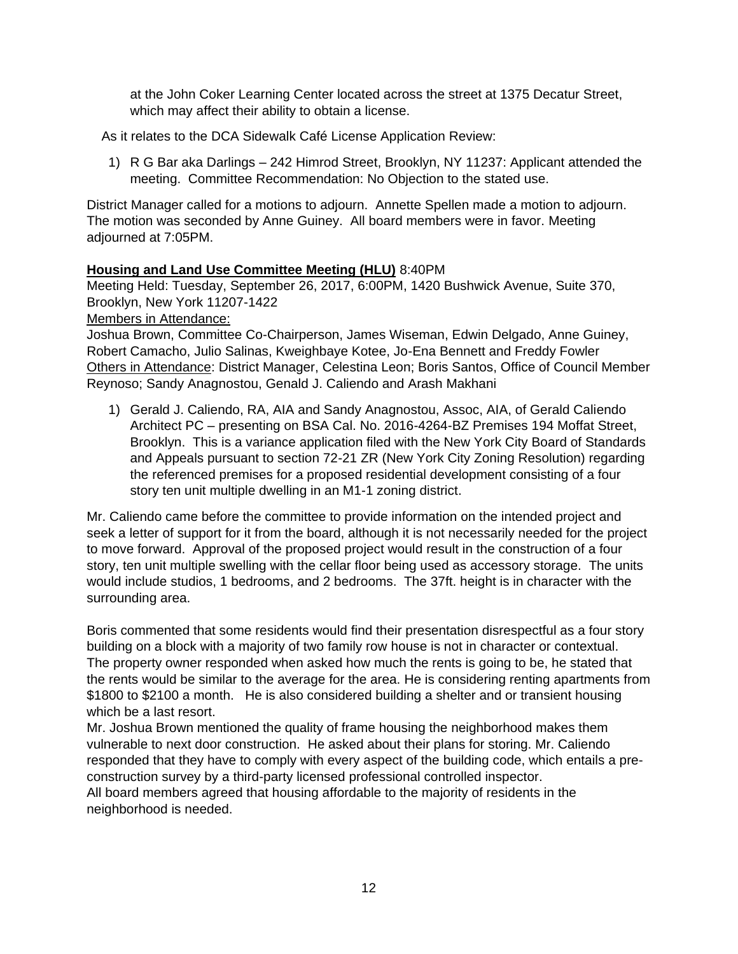at the John Coker Learning Center located across the street at 1375 Decatur Street, which may affect their ability to obtain a license.

As it relates to the DCA Sidewalk Café License Application Review:

1) R G Bar aka Darlings – 242 Himrod Street, Brooklyn, NY 11237: Applicant attended the meeting. Committee Recommendation: No Objection to the stated use.

District Manager called for a motions to adjourn. Annette Spellen made a motion to adjourn. The motion was seconded by Anne Guiney. All board members were in favor. Meeting adjourned at 7:05PM.

## **Housing and Land Use Committee Meeting (HLU)** 8:40PM

Meeting Held: Tuesday, September 26, 2017, 6:00PM, 1420 Bushwick Avenue, Suite 370, Brooklyn, New York 11207-1422

Members in Attendance:

Joshua Brown, Committee Co-Chairperson, James Wiseman, Edwin Delgado, Anne Guiney, Robert Camacho, Julio Salinas, Kweighbaye Kotee, Jo-Ena Bennett and Freddy Fowler Others in Attendance: District Manager, Celestina Leon; Boris Santos, Office of Council Member Reynoso; Sandy Anagnostou, Genald J. Caliendo and Arash Makhani

1) Gerald J. Caliendo, RA, AIA and Sandy Anagnostou, Assoc, AIA, of Gerald Caliendo Architect PC – presenting on BSA Cal. No. 2016-4264-BZ Premises 194 Moffat Street, Brooklyn. This is a variance application filed with the New York City Board of Standards and Appeals pursuant to section 72-21 ZR (New York City Zoning Resolution) regarding the referenced premises for a proposed residential development consisting of a four story ten unit multiple dwelling in an M1-1 zoning district.

Mr. Caliendo came before the committee to provide information on the intended project and seek a letter of support for it from the board, although it is not necessarily needed for the project to move forward. Approval of the proposed project would result in the construction of a four story, ten unit multiple swelling with the cellar floor being used as accessory storage. The units would include studios, 1 bedrooms, and 2 bedrooms. The 37ft. height is in character with the surrounding area.

Boris commented that some residents would find their presentation disrespectful as a four story building on a block with a majority of two family row house is not in character or contextual. The property owner responded when asked how much the rents is going to be, he stated that the rents would be similar to the average for the area. He is considering renting apartments from \$1800 to \$2100 a month. He is also considered building a shelter and or transient housing which be a last resort.

Mr. Joshua Brown mentioned the quality of frame housing the neighborhood makes them vulnerable to next door construction. He asked about their plans for storing. Mr. Caliendo responded that they have to comply with every aspect of the building code, which entails a preconstruction survey by a third-party licensed professional controlled inspector.

All board members agreed that housing affordable to the majority of residents in the neighborhood is needed.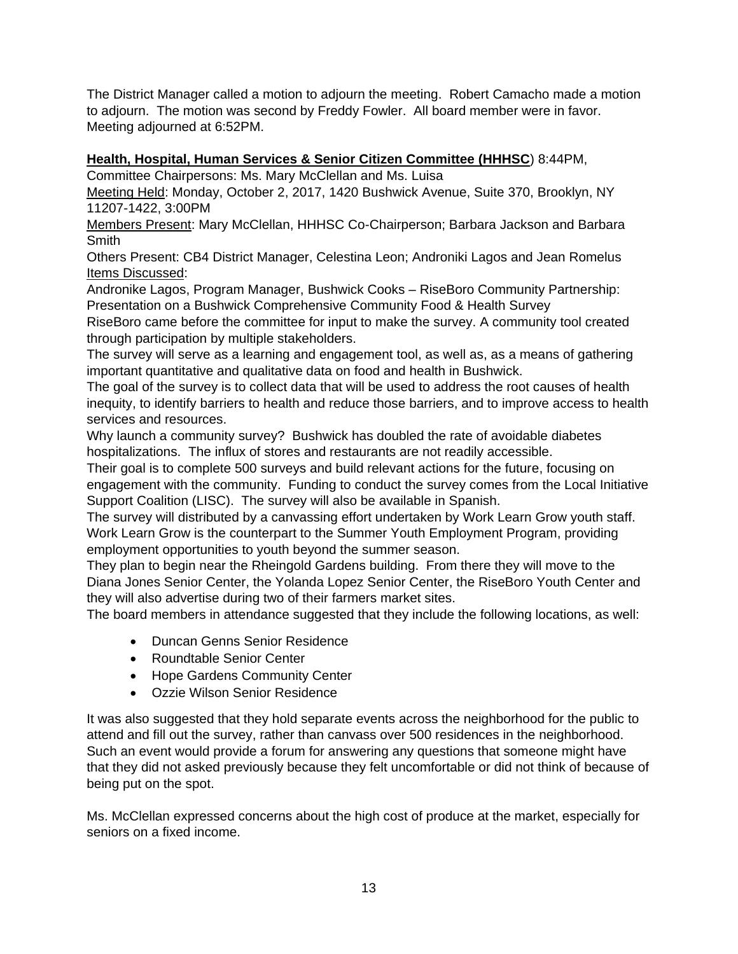The District Manager called a motion to adjourn the meeting. Robert Camacho made a motion to adjourn. The motion was second by Freddy Fowler. All board member were in favor. Meeting adjourned at 6:52PM.

## **Health, Hospital, Human Services & Senior Citizen Committee (HHHSC**) 8:44PM,

Committee Chairpersons: Ms. Mary McClellan and Ms. Luisa

Meeting Held: Monday, October 2, 2017, 1420 Bushwick Avenue, Suite 370, Brooklyn, NY 11207-1422, 3:00PM

Members Present: Mary McClellan, HHHSC Co-Chairperson; Barbara Jackson and Barbara Smith

Others Present: CB4 District Manager, Celestina Leon; Androniki Lagos and Jean Romelus Items Discussed:

Andronike Lagos, Program Manager, Bushwick Cooks – RiseBoro Community Partnership: Presentation on a Bushwick Comprehensive Community Food & Health Survey

RiseBoro came before the committee for input to make the survey. A community tool created through participation by multiple stakeholders.

The survey will serve as a learning and engagement tool, as well as, as a means of gathering important quantitative and qualitative data on food and health in Bushwick.

The goal of the survey is to collect data that will be used to address the root causes of health inequity, to identify barriers to health and reduce those barriers, and to improve access to health services and resources.

Why launch a community survey? Bushwick has doubled the rate of avoidable diabetes hospitalizations. The influx of stores and restaurants are not readily accessible.

Their goal is to complete 500 surveys and build relevant actions for the future, focusing on engagement with the community. Funding to conduct the survey comes from the Local Initiative Support Coalition (LISC). The survey will also be available in Spanish.

The survey will distributed by a canvassing effort undertaken by Work Learn Grow youth staff. Work Learn Grow is the counterpart to the Summer Youth Employment Program, providing employment opportunities to youth beyond the summer season.

They plan to begin near the Rheingold Gardens building. From there they will move to the Diana Jones Senior Center, the Yolanda Lopez Senior Center, the RiseBoro Youth Center and they will also advertise during two of their farmers market sites.

The board members in attendance suggested that they include the following locations, as well:

- Duncan Genns Senior Residence
- Roundtable Senior Center
- Hope Gardens Community Center
- Ozzie Wilson Senior Residence

It was also suggested that they hold separate events across the neighborhood for the public to attend and fill out the survey, rather than canvass over 500 residences in the neighborhood. Such an event would provide a forum for answering any questions that someone might have that they did not asked previously because they felt uncomfortable or did not think of because of being put on the spot.

Ms. McClellan expressed concerns about the high cost of produce at the market, especially for seniors on a fixed income.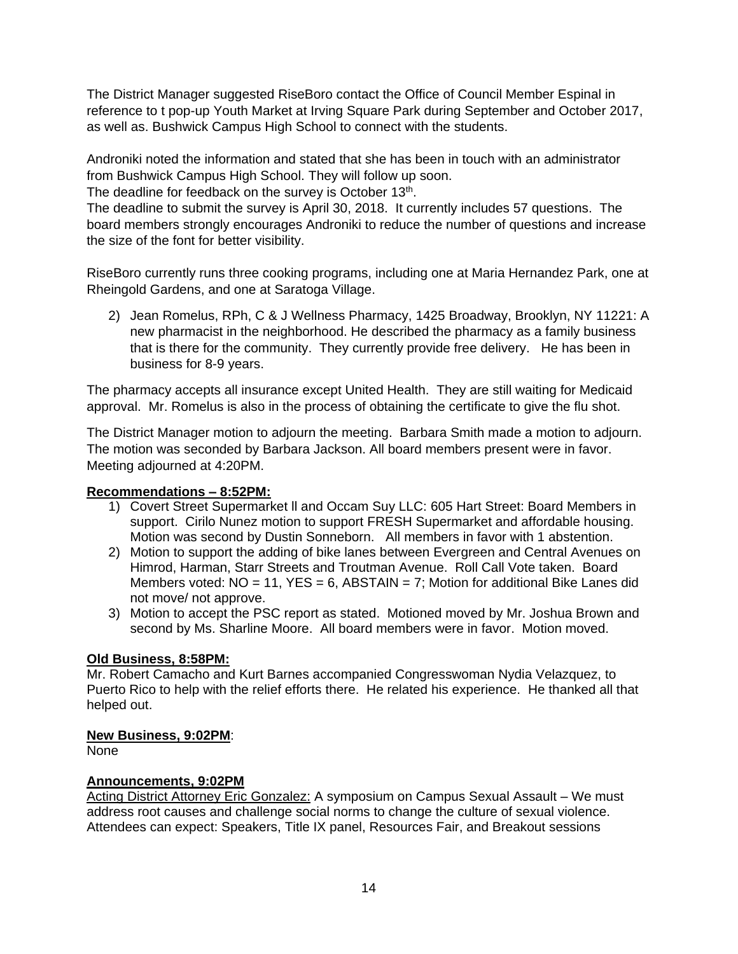The District Manager suggested RiseBoro contact the Office of Council Member Espinal in reference to t pop-up Youth Market at Irving Square Park during September and October 2017, as well as. Bushwick Campus High School to connect with the students.

Androniki noted the information and stated that she has been in touch with an administrator from Bushwick Campus High School. They will follow up soon.

The deadline for feedback on the survey is October 13<sup>th</sup>.

The deadline to submit the survey is April 30, 2018. It currently includes 57 questions. The board members strongly encourages Androniki to reduce the number of questions and increase the size of the font for better visibility.

RiseBoro currently runs three cooking programs, including one at Maria Hernandez Park, one at Rheingold Gardens, and one at Saratoga Village.

2) Jean Romelus, RPh, C & J Wellness Pharmacy, 1425 Broadway, Brooklyn, NY 11221: A new pharmacist in the neighborhood. He described the pharmacy as a family business that is there for the community. They currently provide free delivery. He has been in business for 8-9 years.

The pharmacy accepts all insurance except United Health. They are still waiting for Medicaid approval. Mr. Romelus is also in the process of obtaining the certificate to give the flu shot.

The District Manager motion to adjourn the meeting. Barbara Smith made a motion to adjourn. The motion was seconded by Barbara Jackson. All board members present were in favor. Meeting adjourned at 4:20PM.

# **Recommendations – 8:52PM:**

- 1) Covert Street Supermarket ll and Occam Suy LLC: 605 Hart Street: Board Members in support. Cirilo Nunez motion to support FRESH Supermarket and affordable housing. Motion was second by Dustin Sonneborn. All members in favor with 1 abstention.
- 2) Motion to support the adding of bike lanes between Evergreen and Central Avenues on Himrod, Harman, Starr Streets and Troutman Avenue. Roll Call Vote taken. Board Members voted:  $NO = 11$ ,  $YES = 6$ ,  $ABSTAIN = 7$ ; Motion for additional Bike Lanes did not move/ not approve.
- 3) Motion to accept the PSC report as stated. Motioned moved by Mr. Joshua Brown and second by Ms. Sharline Moore. All board members were in favor. Motion moved.

# **Old Business, 8:58PM:**

Mr. Robert Camacho and Kurt Barnes accompanied Congresswoman Nydia Velazquez, to Puerto Rico to help with the relief efforts there. He related his experience. He thanked all that helped out.

## **New Business, 9:02PM**:

None

# **Announcements, 9:02PM**

Acting District Attorney Eric Gonzalez: A symposium on Campus Sexual Assault – We must address root causes and challenge social norms to change the culture of sexual violence. Attendees can expect: Speakers, Title IX panel, Resources Fair, and Breakout sessions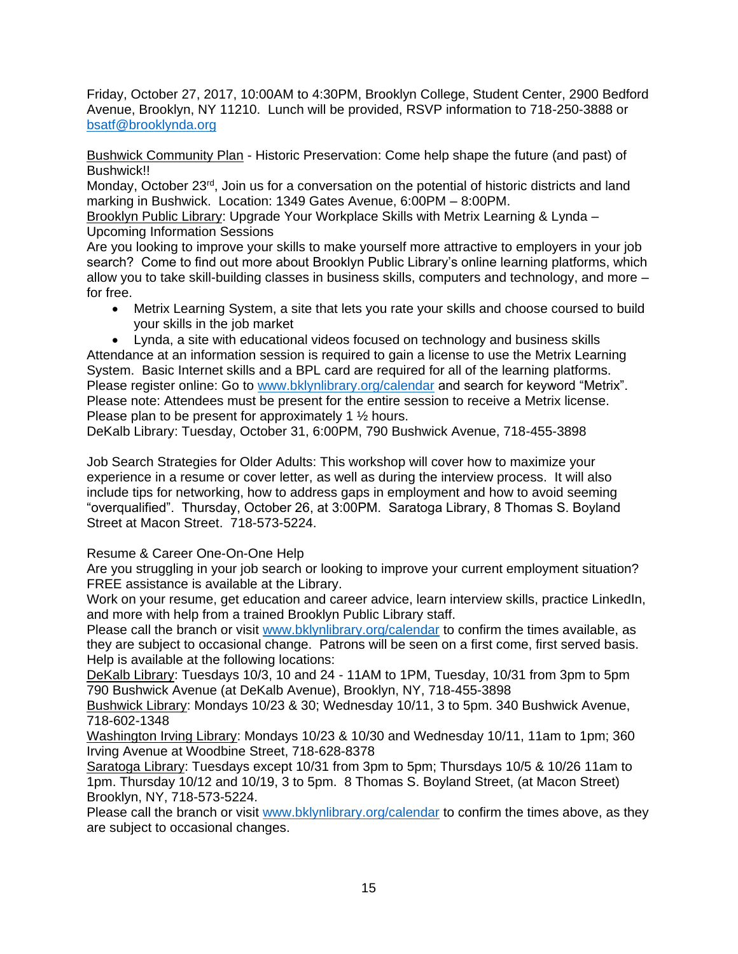Friday, October 27, 2017, 10:00AM to 4:30PM, Brooklyn College, Student Center, 2900 Bedford Avenue, Brooklyn, NY 11210. Lunch will be provided, RSVP information to 718-250-3888 or [bsatf@brooklynda.org](mailto:bsatf@brooklynda.org)

Bushwick Community Plan - Historic Preservation: Come help shape the future (and past) of Bushwick!!

Monday, October 23<sup>rd</sup>, Join us for a conversation on the potential of historic districts and land marking in Bushwick. Location: 1349 Gates Avenue, 6:00PM – 8:00PM.

Brooklyn Public Library: Upgrade Your Workplace Skills with Metrix Learning & Lynda – Upcoming Information Sessions

Are you looking to improve your skills to make yourself more attractive to employers in your job search? Come to find out more about Brooklyn Public Library's online learning platforms, which allow you to take skill-building classes in business skills, computers and technology, and more – for free.

 Metrix Learning System, a site that lets you rate your skills and choose coursed to build your skills in the job market

 Lynda, a site with educational videos focused on technology and business skills Attendance at an information session is required to gain a license to use the Metrix Learning System. Basic Internet skills and a BPL card are required for all of the learning platforms. Please register online: Go to [www.bklynlibrary.org/calendar](http://www.bklynlibrary.org/calendar) and search for keyword "Metrix". Please note: Attendees must be present for the entire session to receive a Metrix license. Please plan to be present for approximately 1 ½ hours.

DeKalb Library: Tuesday, October 31, 6:00PM, 790 Bushwick Avenue, 718-455-3898

Job Search Strategies for Older Adults: This workshop will cover how to maximize your experience in a resume or cover letter, as well as during the interview process. It will also include tips for networking, how to address gaps in employment and how to avoid seeming "overqualified". Thursday, October 26, at 3:00PM. Saratoga Library, 8 Thomas S. Boyland Street at Macon Street. 718-573-5224.

Resume & Career One-On-One Help

Are you struggling in your job search or looking to improve your current employment situation? FREE assistance is available at the Library.

Work on your resume, get education and career advice, learn interview skills, practice LinkedIn, and more with help from a trained Brooklyn Public Library staff.

Please call the branch or visit [www.bklynlibrary.org/calendar](http://www.bklynlibrary.org/calendar) to confirm the times available, as they are subject to occasional change. Patrons will be seen on a first come, first served basis. Help is available at the following locations:

DeKalb Library: Tuesdays 10/3, 10 and 24 - 11AM to 1PM, Tuesday, 10/31 from 3pm to 5pm 790 Bushwick Avenue (at DeKalb Avenue), Brooklyn, NY, 718-455-3898

Bushwick Library: Mondays 10/23 & 30; Wednesday 10/11, 3 to 5pm. 340 Bushwick Avenue, 718-602-1348

Washington Irving Library: Mondays 10/23 & 10/30 and Wednesday 10/11, 11am to 1pm; 360 Irving Avenue at Woodbine Street, 718-628-8378

Saratoga Library: Tuesdays except 10/31 from 3pm to 5pm; Thursdays 10/5 & 10/26 11am to 1pm. Thursday 10/12 and 10/19, 3 to 5pm. 8 Thomas S. Boyland Street, (at Macon Street) Brooklyn, NY, 718-573-5224.

Please call the branch or visit [www.bklynlibrary.org/calendar](http://www.bklynlibrary.org/calendar) to confirm the times above, as they are subject to occasional changes.